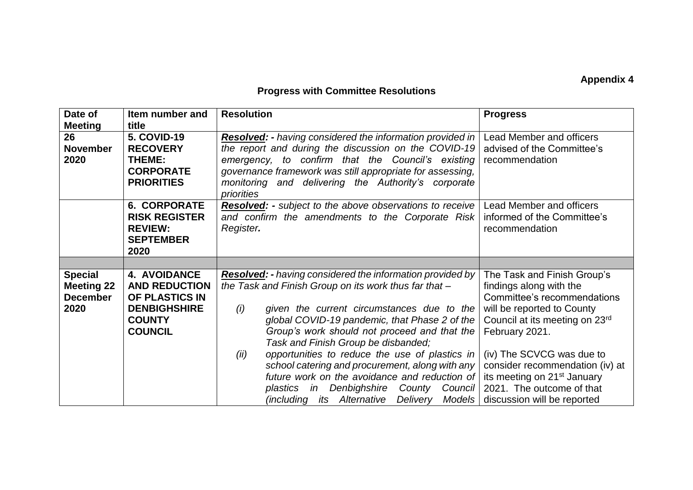## **Appendix 4**

## **Progress with Committee Resolutions**

| Date of<br><b>Meeting</b>                                      | Item number and<br>title                                                                                                | <b>Resolution</b>                                                                                                                                                                                                                                                                                                                                                                                                                                                                                                                                                                     | <b>Progress</b>                                                                                                                                                                                                                                                                                                                                |
|----------------------------------------------------------------|-------------------------------------------------------------------------------------------------------------------------|---------------------------------------------------------------------------------------------------------------------------------------------------------------------------------------------------------------------------------------------------------------------------------------------------------------------------------------------------------------------------------------------------------------------------------------------------------------------------------------------------------------------------------------------------------------------------------------|------------------------------------------------------------------------------------------------------------------------------------------------------------------------------------------------------------------------------------------------------------------------------------------------------------------------------------------------|
| 26<br><b>November</b><br>2020                                  | <b>5. COVID-19</b><br><b>RECOVERY</b><br>THEME:<br><b>CORPORATE</b><br><b>PRIORITIES</b>                                | <b>Resolved:</b> - having considered the information provided in  <br>the report and during the discussion on the COVID-19<br>emergency, to confirm that the Council's existing<br>governance framework was still appropriate for assessing,<br>monitoring and delivering the Authority's corporate<br>priorities                                                                                                                                                                                                                                                                     | Lead Member and officers<br>advised of the Committee's<br>recommendation                                                                                                                                                                                                                                                                       |
|                                                                | <b>6. CORPORATE</b><br><b>RISK REGISTER</b><br><b>REVIEW:</b><br><b>SEPTEMBER</b><br>2020                               | <b>Resolved:</b> - subject to the above observations to receive  <br>and confirm the amendments to the Corporate Risk<br>Register.                                                                                                                                                                                                                                                                                                                                                                                                                                                    | Lead Member and officers<br>informed of the Committee's<br>recommendation                                                                                                                                                                                                                                                                      |
|                                                                |                                                                                                                         |                                                                                                                                                                                                                                                                                                                                                                                                                                                                                                                                                                                       |                                                                                                                                                                                                                                                                                                                                                |
| <b>Special</b><br><b>Meeting 22</b><br><b>December</b><br>2020 | <b>4. AVOIDANCE</b><br><b>AND REDUCTION</b><br>OF PLASTICS IN<br><b>DENBIGHSHIRE</b><br><b>COUNTY</b><br><b>COUNCIL</b> | <b>Resolved:</b> - having considered the information provided by<br>the Task and Finish Group on its work thus far that -<br>(i)<br>given the current circumstances due to the<br>global COVID-19 pandemic, that Phase 2 of the<br>Group's work should not proceed and that the<br>Task and Finish Group be disbanded;<br>opportunities to reduce the use of plastics in<br>(ii)<br>school catering and procurement, along with any<br>future work on the avoidance and reduction of<br>Denbighshire<br>County Council<br>plastics in<br>including its Alternative Delivery<br>Models | The Task and Finish Group's<br>findings along with the<br>Committee's recommendations<br>will be reported to County<br>Council at its meeting on 23rd<br>February 2021.<br>(iv) The SCVCG was due to<br>consider recommendation (iv) at<br>its meeting on 21 <sup>st</sup> January<br>2021. The outcome of that<br>discussion will be reported |